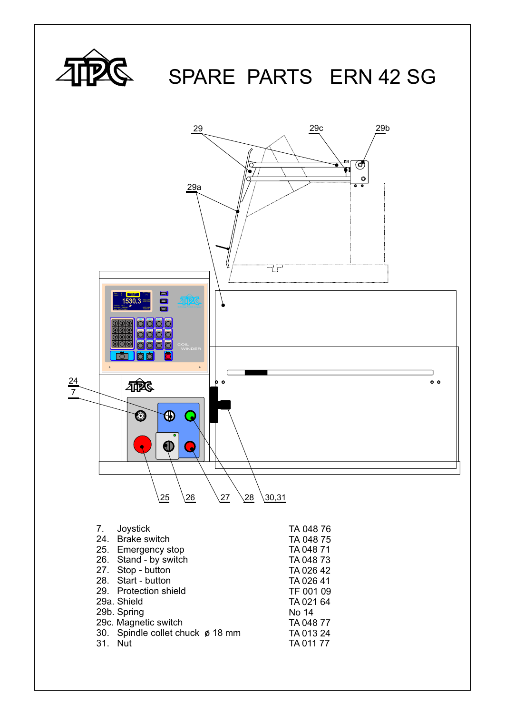

## SPARE PARTS ERN 42 SG

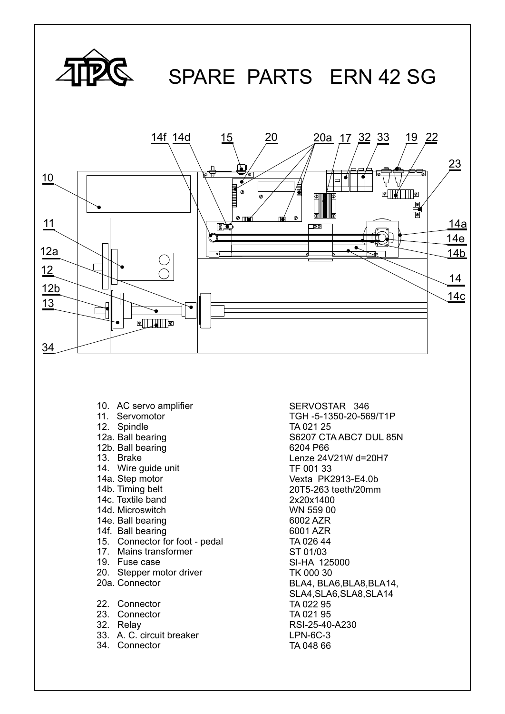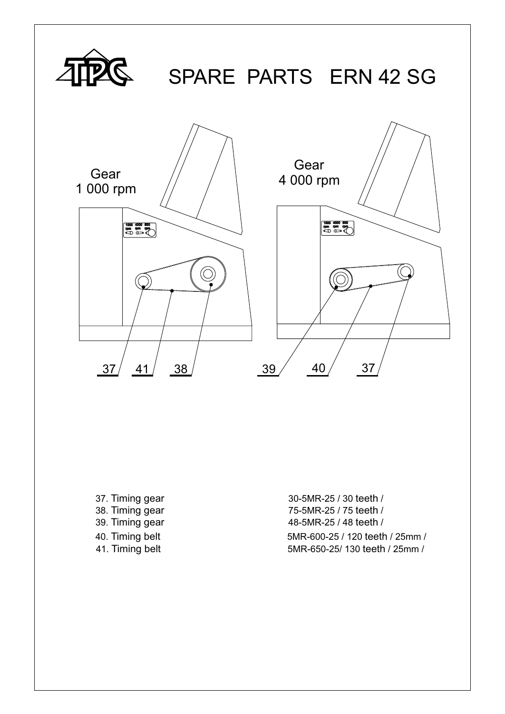

37. Timing gear 30-5MR-25 / 30 teeth / 38. Timing gear 75-5MR-25 / 75 teeth / 39. Timing gear 48-5MR-25 / 48 teeth / 40. Timing belt 5MR-600-25 / 120 teeth / 25mm / 41. Timing belt 5MR-650-25/ 130 teeth / 25mm /